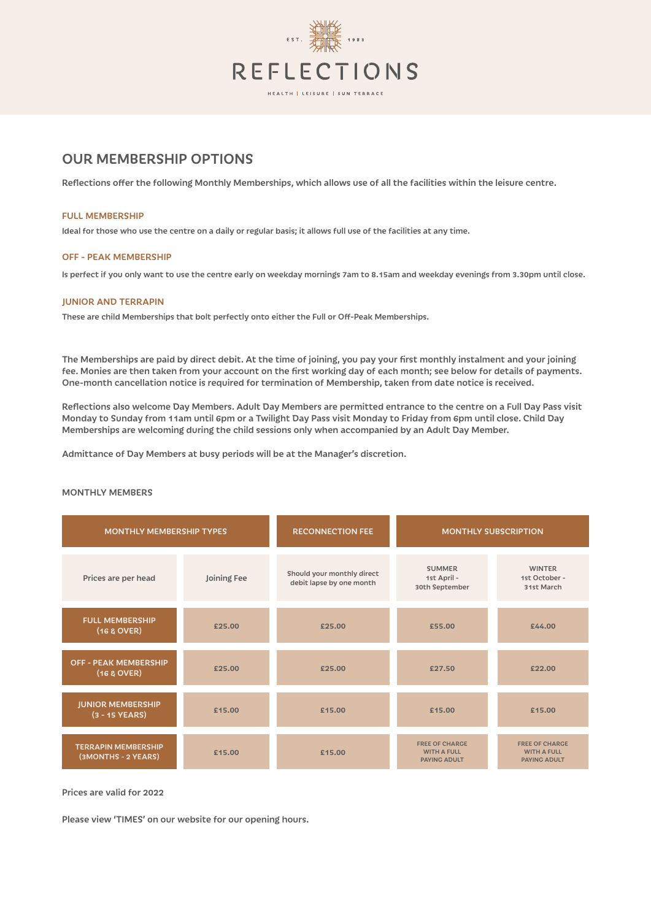

# OUR MEMBERSHIP OPTIONS

Reflections offer the following Monthly Memberships, which allows use of all the facilities within the leisure centre.

#### FULL MEMBERSHIP

Ideal for those who use the centre on a daily or regular basis; it allows full use of the facilities at any time.

### OFF - PEAK MEMBERSHIP

Is perfect if you only want to use the centre early on weekday mornings 7am to 8.15am and weekday evenings from 3.30pm until close.

### JUNIOR AND TERRAPIN

These are child Memberships that bolt perfectly onto either the Full or Off-Peak Memberships.

The Memberships are paid by direct debit. At the time of joining, you pay your first monthly instalment and your joining fee. Monies are then taken from your account on the first working day of each month; see below for details of payments. One-month cancellation notice is required for termination of Membership, taken from date notice is received.

Reflections also welcome Day Members. Adult Day Members are permitted entrance to the centre on a Full Day Pass visit Monday to Sunday from 11am until 6pm or a Twilight Day Pass visit Monday to Friday from 6pm until close. Child Day Memberships are welcoming during the child sessions only when accompanied by an Adult Day Member.

Admittance of Day Members at busy periods will be at the Manager's discretion.

| <b>MONTHLY MEMBERSHIP TYPES</b>                   |             | <b>RECONNECTION FEE</b>                                | <b>MONTHLY SUBSCRIPTION</b>                                        |                                                                    |
|---------------------------------------------------|-------------|--------------------------------------------------------|--------------------------------------------------------------------|--------------------------------------------------------------------|
| Prices are per head                               | Joining Fee | Should your monthly direct<br>debit lapse by one month | <b>SUMMER</b><br>1st April -<br>30th September                     | <b>WINTER</b><br>1st October -<br>31st March                       |
| <b>FULL MEMBERSHIP</b><br>(16 & OVER)             | £25.00      | £25.00                                                 | £55.00                                                             | £44.00                                                             |
| <b>OFF - PEAK MEMBERSHIP</b><br>(16 & 0VER)       | £25.00      | £25.00                                                 | £27.50                                                             | £22.00                                                             |
| <b>JUNIOR MEMBERSHIP</b><br>$(3 - 15$ YEARS)      | £15.00      | £15.00                                                 | £15.00                                                             | £15.00                                                             |
| <b>TERRAPIN MEMBERSHIP</b><br>(3MONTHS - 2 YEARS) | £15.00      | £15.00                                                 | <b>FREE OF CHARGE</b><br><b>WITH A FULL</b><br><b>PAYING ADULT</b> | <b>FREE OF CHARGE</b><br><b>WITH A FULL</b><br><b>PAYING ADULT</b> |

## MONTHLY MEMBERS

Prices are valid for 2022

Please view 'TIMES' on our website for our opening hours.